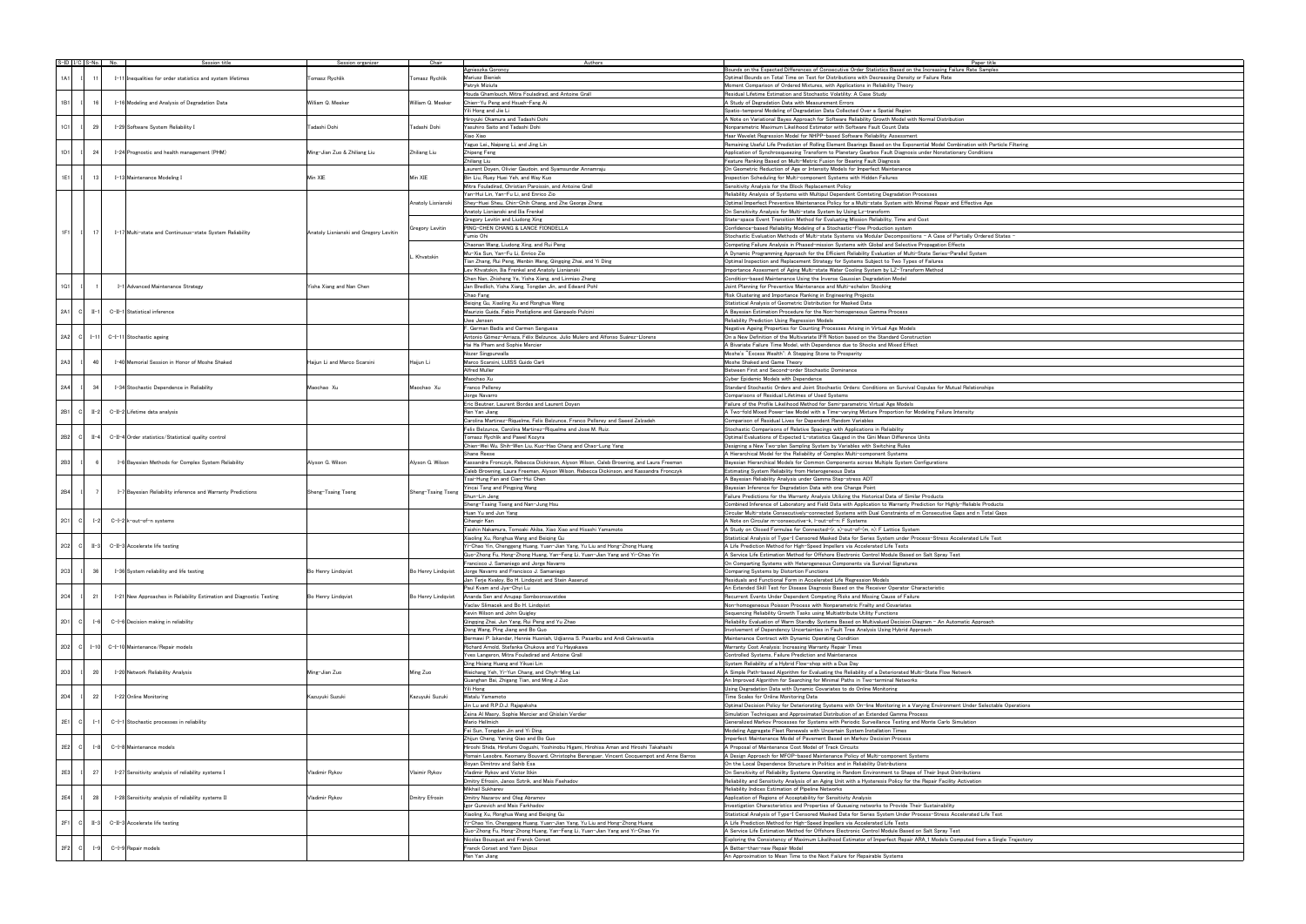|     |          | $S$ -ID $\vert$ I/C $\vert$ S-No. No. |  |                                                                      | Session organizer                      | Chair              | Authors                                                                                   | Paper title                                                                                                       |
|-----|----------|---------------------------------------|--|----------------------------------------------------------------------|----------------------------------------|--------------------|-------------------------------------------------------------------------------------------|-------------------------------------------------------------------------------------------------------------------|
|     |          |                                       |  | Session title                                                        |                                        |                    | Agnieszka Goroncy                                                                         | Bounds on the Expected Differences of Consecutive Order Statistics Based on the Increasing Failure Rate Sample    |
| 1A1 |          | 11                                    |  |                                                                      |                                        |                    | Mariusz Bieniek                                                                           | Optimal Bounds on Total Time on Test for Distributions with Decreasing Density or Failure Rate                    |
|     |          |                                       |  | I-11 Inequalities for order statistics and system lifetimes          | Tomasz Rychlik                         | Tomasz Rychlik     | Patryk Miziuła                                                                            | Moment Comparison of Ordered Mixtures, with Applications in Reliability Theory                                    |
|     |          |                                       |  |                                                                      |                                        |                    |                                                                                           |                                                                                                                   |
|     |          |                                       |  |                                                                      |                                        |                    | Houda Ghamlouch, Mitra Fouladirad, and Antoine Grall                                      | Residual Lifetime Estimation and Stochastic Volatility: A Case Study                                              |
| 1B1 |          | 16                                    |  | I-16 Modeling and Analysis of Degradation Data                       | William Q. Meeker                      | William Q. Meeker  | Chien-Yu Peng and Hsueh-Fang Ai                                                           | A Study of Degradation Data with Measurement Errors                                                               |
|     |          |                                       |  |                                                                      |                                        |                    | Yili Hong and Jie Li                                                                      | Spatio-temporal Modeling of Degradation Data Collected Over a Spatial Region                                      |
|     |          |                                       |  |                                                                      |                                        |                    | Hiroyuki Okamura and Tadashi Dohi                                                         | A Note on Variational Bayes Approach for Software Reliability Growth Model with Normal Distribution               |
|     |          |                                       |  |                                                                      |                                        |                    |                                                                                           |                                                                                                                   |
| 1C1 |          | 29                                    |  | I-29 Software System Reliability I                                   | Tadashi Dohi                           | Tadashi Dohi       | Yasuhiro Saito and Tadashi Dohi                                                           | Nonparametric Maximum Likelihood Estimator with Software Fault Count Data                                         |
|     |          |                                       |  |                                                                      |                                        |                    | Xiao Xiao                                                                                 | Haar Wavelet Regression Model for NHPP-based Software Reliability Assessment                                      |
|     |          |                                       |  |                                                                      |                                        |                    | Yaguo Lei, Naipeng Li, and Jing Lin                                                       | Remaining Useful Life Prediction of Rolling Element Bearings Based on the Exponential Model Combination with Pa   |
| 1D1 |          | 24                                    |  | I-24 Prognostic and health management (PHM)                          | Ming-Jian Zuo & Zhiliang Liu           | Zhiliang Liu       | Zhipeng Feng                                                                              | Application of Synchrosqueezing Transform to Planetary Gearbox Fault Diagnosis under Nonstationary Conditions     |
|     |          |                                       |  |                                                                      |                                        |                    |                                                                                           |                                                                                                                   |
|     |          |                                       |  |                                                                      |                                        |                    | Zhiliang Liu                                                                              | Feature Ranking Based on Multi-Metric Fusion for Bearing Fault Diagnosis                                          |
|     |          |                                       |  |                                                                      |                                        |                    | Laurent Doyen, Olivier Gaudoin, and Syamsundar Annamraju                                  | On Geometric Reduction of Age or Intensity Models for Imperfect Maintenance                                       |
| 1E1 |          | 13                                    |  | I-13 Maintenance Modeling I                                          | Min XIE                                | Min XIE            | Bin Liu, Ruey Huei Yeh, and Way Kuo                                                       | Inspection Scheduling for Multi-component Systems with Hidden Failures                                            |
|     |          |                                       |  |                                                                      |                                        |                    | Mitra Fouladirad, Christian Paroissin, and Antoine Grall                                  | Sensitivity Analysis for the Block Replacement Policy                                                             |
|     |          |                                       |  |                                                                      |                                        |                    | Yan-Hui Lin, Yan-Fu Li, and Enrico Zio                                                    |                                                                                                                   |
|     |          |                                       |  |                                                                      |                                        |                    |                                                                                           | Reliability Analysis of Systems with Multipul Dependent Comteting Degradation Processes                           |
|     |          |                                       |  |                                                                      |                                        | Anatoly Lisnianski | Shev-Huei Sheu. Chin-Chih Chang, and Zhe George Zhang                                     | Optimal Imperfect Preventive Maintenance Policy for a Multi-state System with Minimal Repair and Effective Age    |
|     |          |                                       |  |                                                                      |                                        |                    | Anatoly Lisnianski and Ilia Frenkel                                                       | On Sensitivity Analysis for Multi-state System by Using Lz-transform                                              |
|     |          |                                       |  |                                                                      |                                        |                    | Gregory Levitin and Liudong Xing                                                          | State-space Event Transition Method for Evaluating Mission Reliability, Time and Cost                             |
|     |          |                                       |  |                                                                      |                                        | Gregory Levitin    | PING-CHEN CHANG & LANCE FIONDELLA                                                         | Confidence-based Reliability Modeling of a Stochastic-Flow Production system                                      |
| 1F1 |          | 17                                    |  | I-17 Multi-state and Continuous-state System Reliability             | Anatoly Lisnianski and Gregory Levitin |                    |                                                                                           |                                                                                                                   |
|     |          |                                       |  |                                                                      |                                        |                    | Fumio Ohi                                                                                 | Stochastic Evaluation Methods of Multi-state Systems via Modular Decompositions - A Case of Partially Ordered     |
|     |          |                                       |  |                                                                      |                                        |                    | Chaonan Wang, Liudong Xing, and Rui Peng                                                  | Competing Failure Analysis in Phased-mission Systems with Global and Selective Propagation Effects                |
|     |          |                                       |  |                                                                      |                                        | Khvatskin          | Mu-Xia Sun, Yan-Fu Li, Enrico Zio                                                         | A Dynamic Programming Approach for the Efficient Reliability Evaluation of Multi-State Series-Parallel System     |
|     |          |                                       |  |                                                                      |                                        |                    | Tian Zhang, Rui Peng, Wenbin Wang, Qingqing Zhai, and Yi Ding                             | Optimal Inspection and Replacement Strategy for Systems Subject to Two Types of Failures                          |
|     |          |                                       |  |                                                                      |                                        |                    |                                                                                           |                                                                                                                   |
|     |          |                                       |  |                                                                      |                                        |                    | ev Khvatskin, Ilia Frenkel and Anatoly Lisnianski                                         | Importance Assesment of Aging Multi-state Water Cooling System by LZ-Transform Method                             |
|     |          |                                       |  |                                                                      |                                        |                    | Chen Nan, Zhisheng Ye, Yisha Xiang, and Linmiao Zhang                                     | Condition-based Maintenance Using the Inverse Gaussian Degradation Model                                          |
| 1G1 |          |                                       |  | I-1 Advanced Maintenance Strategy                                    | Yisha Xiang and Nan Chen               |                    | Jan Bredlich, Yisha Xiang, Tongdan Jin, and Edward Pohl                                   | Joint Planning for Preventive Maintenance and Multi-echelon Stocking                                              |
|     |          |                                       |  |                                                                      |                                        |                    | Chao Fang                                                                                 | Risk Clustering and Importance Ranking in Engineering Projects                                                    |
|     |          |                                       |  |                                                                      |                                        |                    | Beiging Gu, Xiaoling Xu and Ronghua Wang                                                  | Statistical Analysis of Geometric Distribution for Masked Data                                                    |
|     |          |                                       |  |                                                                      |                                        |                    |                                                                                           |                                                                                                                   |
| 2A1 | - cl     | $II-1$                                |  | C-II-1 Statistical inference                                         |                                        |                    | Maurizio Guida, Fabio Postiglione and Gianpaolo Pulcini                                   | A Bayesian Estimation Procedure for the Non-homogeneous Gamma Process                                             |
|     |          |                                       |  |                                                                      |                                        |                    | Uwe Jensen                                                                                | Reliability Prediction Using Regression Models                                                                    |
|     |          |                                       |  |                                                                      |                                        |                    | . German Badía and Carmen Sanguesa                                                        | Negative Ageing Properties for Counting Processes Arising in Virtual Age Models                                   |
| 2A2 | - cl     | $I - 11$                              |  |                                                                      |                                        |                    | Antonio Gómez-Arriaza, Félix Belzunce, Julio Mulero and Alfonso Suárez-Llorens            | On a New Definition of the Multivariate IFR Notion based on the Standard Construction                             |
|     |          |                                       |  | C-I-11 Stochastic ageing                                             |                                        |                    |                                                                                           |                                                                                                                   |
|     |          |                                       |  |                                                                      |                                        |                    | Hai Ha Pham and Sophie Mercier                                                            | A Bivariate Failure Time Model, with Dependence due to Shocks and Mixed Effect                                    |
|     |          |                                       |  |                                                                      |                                        |                    | Nozer Singpurwalla                                                                        | Moshe's "Excess Wealth": A Stepping Stone to Prosperity                                                           |
| 2A3 |          | 40                                    |  | I-40 Memorial Session in Honor of Moshe Shaked                       | Haijun Li and Marco Scarsini           | Haijun Li          | Marco Scarsini, LUISS Guido Carli                                                         | Moshe Shaked and Game Theory                                                                                      |
|     |          |                                       |  |                                                                      |                                        |                    | Alfred Muller                                                                             | Between First and Second-order Stochastic Dominance                                                               |
|     |          |                                       |  |                                                                      |                                        |                    |                                                                                           |                                                                                                                   |
|     |          |                                       |  |                                                                      |                                        |                    | Maochao Xu                                                                                | Cyber Epidemic Models with Dependence                                                                             |
| 2A4 |          | 34                                    |  | I-34 Stochastic Dependence in Reliability                            | Maochao Xu                             | Maochao Xu         | Franco Pellerey                                                                           | Standard Stochastic Orders and Joint Stochastic Orders: Conditions on Survival Copulas for Mutual Relationships   |
|     |          |                                       |  |                                                                      |                                        |                    | Jorge Navarro                                                                             | Comparisons of Residual Lifetimes of Used Systems                                                                 |
|     |          |                                       |  |                                                                      |                                        |                    | Eric Beutner, Laurent Bordes and Laurent Doyen                                            | Failure of the Profile Likelihood Method for Semi-parametric Virtual Age Models                                   |
|     |          |                                       |  |                                                                      |                                        |                    |                                                                                           |                                                                                                                   |
| 2B1 | - cl     | $II-2$                                |  | C-II-2 Lifetime data analysis                                        |                                        |                    | Ren Yan Jiang                                                                             | A Two-fold Mixed Power-law Model with a Time-varying Mixture Proportion for Modeling Failure Intensity            |
|     |          |                                       |  |                                                                      |                                        |                    | Carolina Martinez-Riquelme, Felix Belzunce, Franco Pellerey and Saeed Zalzadeh            | Comparison of Residual Lives for Dependent Random Variables                                                       |
|     |          |                                       |  |                                                                      |                                        |                    | Felix Belzunce, Carolina Martinez-Riquelme and Jose M. Ruiz.                              | Stochastic Comparisons of Relative Spacings with Applications in Reliability                                      |
| 2B2 | <b>C</b> | $II-4$                                |  | C-II-4 Order statistics/Statistical quality control                  |                                        |                    | Tomasz Rychlik and Pawel Kozyra                                                           | Optimal Evaluations of Expected L-statistics Gauged in the Gini Mean Difference Units                             |
|     |          |                                       |  |                                                                      |                                        |                    |                                                                                           |                                                                                                                   |
|     |          |                                       |  |                                                                      |                                        |                    | Chien-Wei Wu, Shih-Wen Liu, Kuo-Hao Chang and Chao-Lung Yang                              | Designing a New Two-plan Sampling System by Variables with Switching Rules                                        |
|     |          |                                       |  |                                                                      |                                        |                    | Shane Reese                                                                               | A Hierarchical Model for the Reliability of Complex Multi-component Systems                                       |
| 2B3 |          | 6                                     |  | I-6 Bayesian Methods for Complex System Reliability                  | Alyson G. Wilson                       | Alyson G. Wilson   | Kassandra Fronczyk, Rebecca Dickinson, Alyson Wilson, Caleb Browning, and Laura Freeman   | Bayesian Hierarchical Models for Common Components across Multiple System Configurations                          |
|     |          |                                       |  |                                                                      |                                        |                    | Caleb Browning, Laura Freeman, Alyson Wilson, Rebecca Dickinson, and Kassandra Fronczyk   | Estimating System Reliability from Heterogeneous Data                                                             |
|     |          |                                       |  |                                                                      |                                        |                    | Tsai-Hung Fan and Cian-Hui Chen                                                           |                                                                                                                   |
|     |          |                                       |  |                                                                      |                                        |                    |                                                                                           | A Bayesian Reliability Analysis under Gamma Step-stress ADT                                                       |
| 2B4 |          |                                       |  | I-7 Bayesian Reliability inference and Warranty Predictions          | Sheng-Tsaing Tseng                     | Sheng-Tsaing Tseng | fincai Tang and Pingping Wang                                                             | Bayesian Inference for Degradation Data with one Change Point                                                     |
|     |          |                                       |  |                                                                      |                                        |                    | Shun-Lin Jeng                                                                             | Failure Predictions for the Warranty Analysis Utilizing the Historical Data of Similar Products                   |
|     |          |                                       |  |                                                                      |                                        |                    | Sheng-Tsaing Tseng and Nan-Jung Hsu                                                       | Combined Inference of Laboratory and Field Data with Application to Warranty Prediction for Highly-Reliable Prodi |
|     |          |                                       |  |                                                                      |                                        |                    | Huan Yu and Jun Yang                                                                      | Circular Multi-state Consecutively-connected Systems with Dual Constraints of m Consecutive Gaps and n Total      |
|     |          |                                       |  | C−I−2 k−out−of−n systems                                             |                                        |                    |                                                                                           |                                                                                                                   |
| 2C1 |          |                                       |  |                                                                      |                                        |                    | Cihangir Kan                                                                              | A Note on Circular m-consecutive-k, I-out-of-n: F Systems                                                         |
|     | C        | $I - 2$                               |  |                                                                      |                                        |                    |                                                                                           |                                                                                                                   |
|     |          |                                       |  |                                                                      |                                        |                    | Taishin Nakamura, Tomoaki Akiba, Xiao Xiao and Hisashi Yamamoto                           | A Study on Closed Formulae for Connected-(r, s)-out-of-(m, n): F Lattice System                                   |
|     |          |                                       |  |                                                                      |                                        |                    | Xiaoling Xu, Ronghua Wang and Beiging Gu                                                  | Statistical Analysis of Type-I Censored Masked Data for Series System under Process-Stress Accelerated Life T     |
|     |          |                                       |  |                                                                      |                                        |                    |                                                                                           |                                                                                                                   |
| 2C2 | - CI     | $II-3$                                |  | C-II-3 Accelerate life testing                                       |                                        |                    | Yi-Chao Yin, Chenggeng Huang, Yuan-Jian Yang, Yu Liu and Hong-Zhong Huang                 | A Life Prediction Method for High-Speed Impellers via Accelerated Life Tests                                      |
|     |          |                                       |  |                                                                      |                                        |                    | Guo-Zhong Fu, Hong-Zhong Huang, Yan-Feng Li, Yuan-Jian Yang and Yi-Chao Yin               | A Service Life Estimation Method for Offshore Electronic Control Module Based on Salt Spray Test                  |
|     |          |                                       |  |                                                                      |                                        |                    | Francisco J. Samaniego and Jorge Navarro                                                  | On Comparting Systems with Heterogeneous Components via Survival Signatures                                       |
| 2C3 |          | 36                                    |  | I-36 System reliability and life testing                             | Bo Henry Lindqvist                     | Bo Henry Lindqvist | Jorge Navarro and Francisco J. Samaniego                                                  | Comparing Systems by Distortion Functions                                                                         |
|     |          |                                       |  |                                                                      |                                        |                    | Jan Terie Kvalov, Bo H. Lindgvist and Stein Aaserud                                       |                                                                                                                   |
|     |          |                                       |  |                                                                      |                                        |                    |                                                                                           | Residuals and Functional Form in Accelerated Life Regression Models                                               |
|     |          |                                       |  |                                                                      |                                        |                    | Paul Kvam and Jye-Chyi Lu                                                                 | An Extended Skill Test for Disease Diagnosis Based on the Receiver Operator Characteristic                        |
| 2C4 |          | 21                                    |  | I-21 New Approaches in Reliability Estimation and Diagnostic Testing | Bo Henry Lindqvist                     | Bo Henry Lindqvist | Ananda Sen and Anupap Somboonsavatdee                                                     | Recurrent Events Under Dependent Competing Risks and Missing Cause of Failure                                     |
|     |          |                                       |  |                                                                      |                                        |                    | Vaclay Slimacek and Bo H. Lindovist                                                       | Non-homogeneous Poisson Process with Nonparametric Frailty and Covariates                                         |
|     |          |                                       |  |                                                                      |                                        |                    | Kevin Wilson and John Quigley                                                             | Sequencing Reliability Growth Tasks using Multiattribute Utility Functions                                        |
|     |          |                                       |  |                                                                      |                                        |                    |                                                                                           |                                                                                                                   |
| 2D1 | - Cl     | $I - 6$                               |  | C-I-6 Decision making in reliability                                 |                                        |                    | Qingqing Zhai, Jun Yang, Rui Peng and Yu Zhao                                             | Reliability Evaluation of Warm Standby Systems Based on Multivalued Decision Diagram - An Automatic Approach      |
|     |          |                                       |  |                                                                      |                                        |                    | Dong Wang, Ping Jiang and Bo Guo                                                          | Involvement of Dependency Uncertainties in Fault Tree Analysis Using Hybrid Approach                              |
|     |          |                                       |  |                                                                      |                                        |                    | Bermawi P. Iskandar, Hennie Husniah, Udjianna S. Pasaribu and Andi Cakravastia            | Maintenance Contract with Dynamic Operating Condition                                                             |
| 2D2 | C        | $I - 10$                              |  | C-I-10 Maintenance/Repair models                                     |                                        |                    | Richard Arnold, Stefanka Chukova and Yu Havakawa                                          | Warranty Cost Analysis: Increasing Warranty Repair Times                                                          |
|     |          |                                       |  |                                                                      |                                        |                    | Yves Langeron, Mitra Fouladirad and Antoine Grall                                         | Controlled Systems, Failure Prediction and Maintenance                                                            |
|     |          |                                       |  |                                                                      |                                        |                    | Ding Hsiang Huang and Yikuei Lin                                                          | System Reliability of a Hybrid Flow-shop with a Due Day                                                           |
|     |          |                                       |  |                                                                      |                                        |                    |                                                                                           |                                                                                                                   |
| 2D3 |          | 20                                    |  | I-20 Network Reliability Analysis                                    | Ming-Jian Zuo                          | Ming Zuo           | Weichang Yeh, Yi-Yun Chang, and Chyh-Ming Lai                                             | A Simple Path-based Algorithm for Evaluating the Reliability of a Deteriorated Multi-State Flow Network           |
|     |          |                                       |  |                                                                      |                                        |                    | Guanghan Bai, Zhigang Tian, and Ming J Zuo                                                | An Improved Algorithm for Searching for Minimal Paths in Two-terminal Networks                                    |
|     |          |                                       |  |                                                                      |                                        |                    | Yili Hong                                                                                 | Using Degradation Data with Dynamic Covariates to do Online Monitoring                                            |
| 2D4 |          | 22                                    |  | I-22 Online Monitoring                                               | Kazuyuki Suzuki                        | Kazuyuki Suzuki    | Watalu Yamamoto                                                                           | Time Scales for Online Monitoring Data                                                                            |
|     |          |                                       |  |                                                                      |                                        |                    |                                                                                           |                                                                                                                   |
|     |          |                                       |  |                                                                      |                                        |                    | Jin Lu and R.P.D.J. Rajapaksha                                                            | Optimal Decision Policy for Deteriorating Systems with On-line Monitoring in a Varying Environment Under Selecta  |
|     |          |                                       |  |                                                                      |                                        |                    | Zeina Al Masry, Sophie Mercier and Ghislain Verdier                                       | Simulation Techniques and Approximated Distribution of an Extended Gamma Process                                  |
| 2E1 | - cl     | $I-1$                                 |  | C-I-1 Stochastic processes in reliability                            |                                        |                    | Mario Hellmich                                                                            | Generalized Markov Processes for Systems with Periodic Surveillance Testing and Monte Carlo Simulation            |
|     |          |                                       |  |                                                                      |                                        |                    | Fei Sun, Tongdan Jin and Yi Ding.                                                         | Modeling Aggregate Fleet Renewals with Uncertain System Installation Times                                        |
|     |          |                                       |  |                                                                      |                                        |                    |                                                                                           |                                                                                                                   |
|     |          |                                       |  |                                                                      |                                        |                    | Zhijun Cheng, Yaning Qiao and Bo Guo                                                      | Imperfect Maintenance Model of Pavement Based on Markov Decision Process                                          |
| 2E2 | - Cl     | $I - 8$                               |  | C-I-8 Maintenance models                                             |                                        |                    | Hiroshi Shida, Hirofumi Oogushi, Yoshinobu Higami, Hirohisa Aman and Hiroshi Takahashi    | A Proposal of Maintenance Cost Model of Track Circuits                                                            |
|     |          |                                       |  |                                                                      |                                        |                    | Romain Lesobre, Keomany Bouvard, Christophe Berenguer, Vincent Cocquempot and Anne Barros | A Design Approach for MFOP-based Maintenance Policy of Multi-component Systems                                    |
|     |          |                                       |  |                                                                      |                                        |                    | Boyan Dimitrov and Sahib Esa                                                              | On the Local Dependence Structure in Politics and in Reliability Distributions                                    |
|     |          |                                       |  |                                                                      |                                        |                    |                                                                                           |                                                                                                                   |
| 2E3 |          | 27                                    |  | I-27 Sensitivity analysis of reliability systems I                   | Vladimir Rykov                         | Vlaimir Rykov      | Vladimir Rykov and Victor Itkin                                                           | On Sensitivity of Reliability Systems Operating in Random Environment to Shape of Their Input Distributions       |
|     |          |                                       |  |                                                                      |                                        |                    | Dmitry Efrosin, Janos Sztrik, and Mais Faehadov                                           | Reliability and Sensitivity Analysis of an Aging Unit with a Hysteresis Policy for the Repair Facility Activation |
|     |          |                                       |  |                                                                      |                                        |                    | Mikhail Sukharev                                                                          | Reliability Indices Estimation of Pipeline Networks                                                               |
| 2E4 |          | 28                                    |  | I-28 Sensitivity analysis of reliability systems II                  | Vladimir Rykov                         | Dmitry Efrosin     | Dmitry Nazarov and Oleg Abramov                                                           | Application of Regions of Acceptability for Sensitivity Analysis                                                  |
|     |          |                                       |  |                                                                      |                                        |                    |                                                                                           |                                                                                                                   |
|     |          |                                       |  |                                                                      |                                        |                    | Igor Gurevich and Mais Farkhadov                                                          | Investigation Characteristics and Properties of Queueing networks to Provide Their Sustainability                 |
|     |          |                                       |  |                                                                      |                                        |                    | Xiaoling Xu, Ronghua Wang and Beiging Gu                                                  | Statistical Analysis of Type-I Censored Masked Data for Series System Under Process-Stress Accelerated Life T     |
| 2F1 | - cl     | $II-3$                                |  | C-II-3 Accelerate life testing                                       |                                        |                    | Yi-Chao Yin, Chenggeng Huang, Yuan-Jian Yang, Yu Liu and Hong-Zhong Huang                 | A Life Prediction Method for High-Speed Impellers via Accelerated Life Tests                                      |
|     |          |                                       |  |                                                                      |                                        |                    | Guo-Zhong Fu, Hong-Zhong Huang, Yan-Feng Li, Yuan-Jian Yang and Yi-Chao Yin               | A Service Life Estimation Method for Offshore Electronic Control Module Based on Salt Spray Test                  |
|     |          |                                       |  |                                                                      |                                        |                    |                                                                                           |                                                                                                                   |
|     |          |                                       |  |                                                                      |                                        |                    | Nicolas Bousquet and Franck Corset                                                        | Exploring the Consistency of Maximum Likelihood Estimator of Imperfect Repair ARA_1 Models Computed from a S      |
| 2F2 | - cl     | $I-9$                                 |  | C−I−9 Repair models                                                  |                                        |                    | Franck Corset and Yann Dijoux<br>Ren Yan Jiang                                            | A Better-than-new Repair Model<br>An Approximation to Mean Time to the Next Failure for Repairable Systems        |

| itle<br>ples            |  |
|-------------------------|--|
|                         |  |
|                         |  |
|                         |  |
|                         |  |
|                         |  |
|                         |  |
|                         |  |
|                         |  |
|                         |  |
|                         |  |
| Particle Filtering      |  |
| $\overline{\mathbf{r}}$ |  |
|                         |  |
|                         |  |
|                         |  |
|                         |  |
|                         |  |
|                         |  |
| e)                      |  |
|                         |  |
|                         |  |
|                         |  |
| ed States –             |  |
|                         |  |
|                         |  |
|                         |  |
|                         |  |
|                         |  |
|                         |  |
|                         |  |
|                         |  |
|                         |  |
|                         |  |
|                         |  |
|                         |  |
|                         |  |
|                         |  |
|                         |  |
|                         |  |
|                         |  |
|                         |  |
| ps                      |  |
|                         |  |
|                         |  |
|                         |  |
|                         |  |
|                         |  |
|                         |  |
|                         |  |
|                         |  |
|                         |  |
|                         |  |
|                         |  |
|                         |  |
|                         |  |
| pducts                  |  |
| al Gaps                 |  |
|                         |  |
|                         |  |
| Test                    |  |
|                         |  |
|                         |  |
|                         |  |
|                         |  |
|                         |  |
|                         |  |
|                         |  |
|                         |  |
|                         |  |
|                         |  |
|                         |  |
| ch                      |  |
|                         |  |
|                         |  |
|                         |  |
|                         |  |
|                         |  |
|                         |  |
|                         |  |
|                         |  |
|                         |  |
|                         |  |
| ctable Operations       |  |
|                         |  |
|                         |  |
|                         |  |
|                         |  |
|                         |  |
|                         |  |
|                         |  |
|                         |  |
|                         |  |
|                         |  |
|                         |  |
|                         |  |
| $\frac{1}{1}$           |  |
|                         |  |
|                         |  |
| a Single Trajectory     |  |
|                         |  |